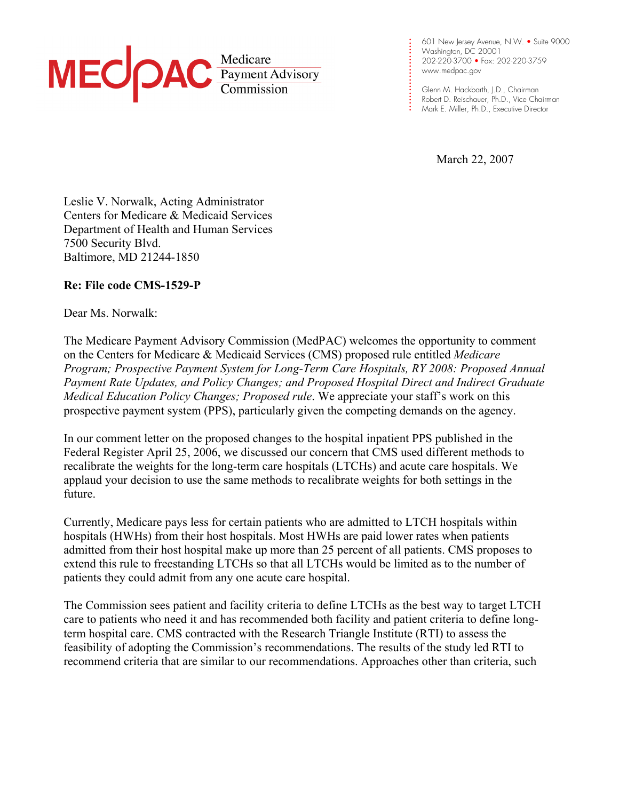## MEC PAC Redicare

**. .**  Washington, DC 20001 **. . . .**  202-220-3700 • Fax: 202-220-3759 **. . .**  www.medpac.gov 601 New Jersey Avenue, N.W. • Suite 9000

**. . .** 

**. . . . . . . . . .**

Glenn M. Hackbarth, J.D., Chairman Robert D. Reischauer, Ph.D., Vice Chairman Mark E. Miller, Ph.D., Executive Director

March 22, 2007

Leslie V. Norwalk, Acting Administrator Centers for Medicare & Medicaid Services Department of Health and Human Services 7500 Security Blvd. Baltimore, MD 21244-1850

## **Re: File code CMS-1529-P**

Dear Ms. Norwalk:

The Medicare Payment Advisory Commission (MedPAC) welcomes the opportunity to comment on the Centers for Medicare & Medicaid Services (CMS) proposed rule entitled *Medicare Program; Prospective Payment System for Long-Term Care Hospitals, RY 2008: Proposed Annual Payment Rate Updates, and Policy Changes; and Proposed Hospital Direct and Indirect Graduate Medical Education Policy Changes; Proposed rule*. We appreciate your staff's work on this prospective payment system (PPS), particularly given the competing demands on the agency.

In our comment letter on the proposed changes to the hospital inpatient PPS published in the Federal Register April 25, 2006, we discussed our concern that CMS used different methods to recalibrate the weights for the long-term care hospitals (LTCHs) and acute care hospitals. We applaud your decision to use the same methods to recalibrate weights for both settings in the future.

Currently, Medicare pays less for certain patients who are admitted to LTCH hospitals within hospitals (HWHs) from their host hospitals. Most HWHs are paid lower rates when patients admitted from their host hospital make up more than 25 percent of all patients. CMS proposes to extend this rule to freestanding LTCHs so that all LTCHs would be limited as to the number of patients they could admit from any one acute care hospital.

The Commission sees patient and facility criteria to define LTCHs as the best way to target LTCH care to patients who need it and has recommended both facility and patient criteria to define longterm hospital care. CMS contracted with the Research Triangle Institute (RTI) to assess the feasibility of adopting the Commission's recommendations. The results of the study led RTI to recommend criteria that are similar to our recommendations. Approaches other than criteria, such